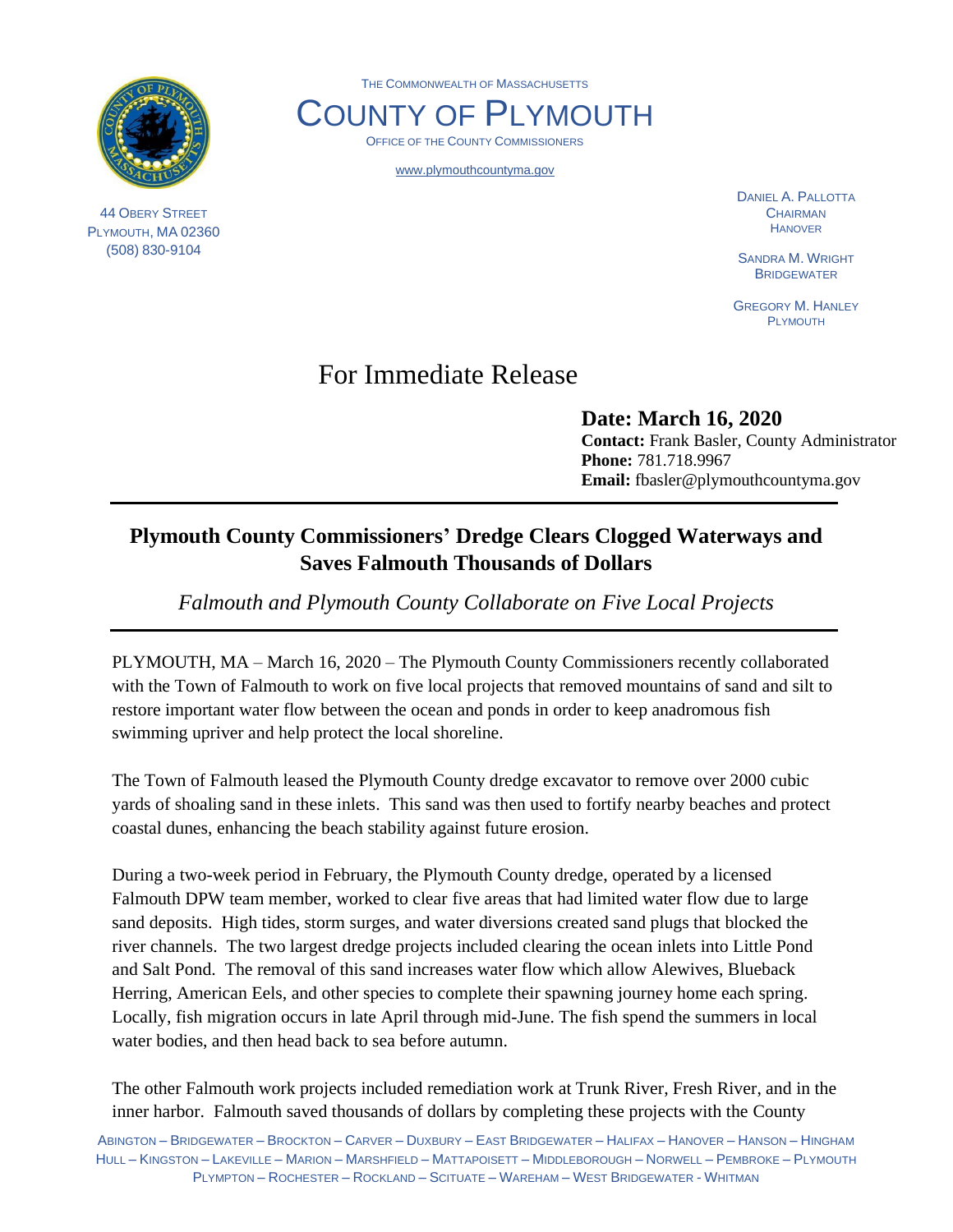

44 OBERY STREET PLYMOUTH, MA 02360 (508) 830-9104

THE COMMONWEALTH OF MASSACHUSETTS

COUNTY OF PLYMOUTH OFFICE OF THE COUNTY COMMISSIONERS

www.plymouthcountyma.gov

DANIEL A. PALLOTTA **CHAIRMAN** HANOVER

SANDRA M. WRIGHT **BRIDGEWATER** 

GREGORY M. HANLEY PLYMOUTH

## For Immediate Release

**Date: March 16, 2020 Contact:** Frank Basler, County Administrator **Phone:** 781.718.9967 **Email:** fbasler@plymouthcountyma.gov

## **Plymouth County Commissioners' Dredge Clears Clogged Waterways and Saves Falmouth Thousands of Dollars**

*Falmouth and Plymouth County Collaborate on Five Local Projects*

PLYMOUTH, MA – March 16, 2020 – The Plymouth County Commissioners recently collaborated with the Town of Falmouth to work on five local projects that removed mountains of sand and silt to restore important water flow between the ocean and ponds in order to keep anadromous fish swimming upriver and help protect the local shoreline.

The Town of Falmouth leased the Plymouth County dredge excavator to remove over 2000 cubic yards of shoaling sand in these inlets. This sand was then used to fortify nearby beaches and protect coastal dunes, enhancing the beach stability against future erosion.

During a two-week period in February, the Plymouth County dredge, operated by a licensed Falmouth DPW team member, worked to clear five areas that had limited water flow due to large sand deposits. High tides, storm surges, and water diversions created sand plugs that blocked the river channels. The two largest dredge projects included clearing the ocean inlets into Little Pond and Salt Pond. The removal of this sand increases water flow which allow Alewives, Blueback Herring, American Eels, and other species to complete their spawning journey home each spring. Locally, fish migration occurs in late April through mid-June. The fish spend the summers in local water bodies, and then head back to sea before autumn.

The other Falmouth work projects included remediation work at Trunk River, Fresh River, and in the inner harbor. Falmouth saved thousands of dollars by completing these projects with the County

ABINGTON – BRIDGEWATER – BROCKTON – CARVER – DUXBURY – EAST BRIDGEWATER – HALIFAX – HANOVER – HANSON – HINGHAM HULL – KINGSTON – LAKEVILLE – MARION – MARSHFIELD – MATTAPOISETT – MIDDLEBOROUGH – NORWELL – PEMBROKE – PLYMOUTH PLYMPTON – ROCHESTER – ROCKLAND – SCITUATE – WAREHAM – WEST BRIDGEWATER - WHITMAN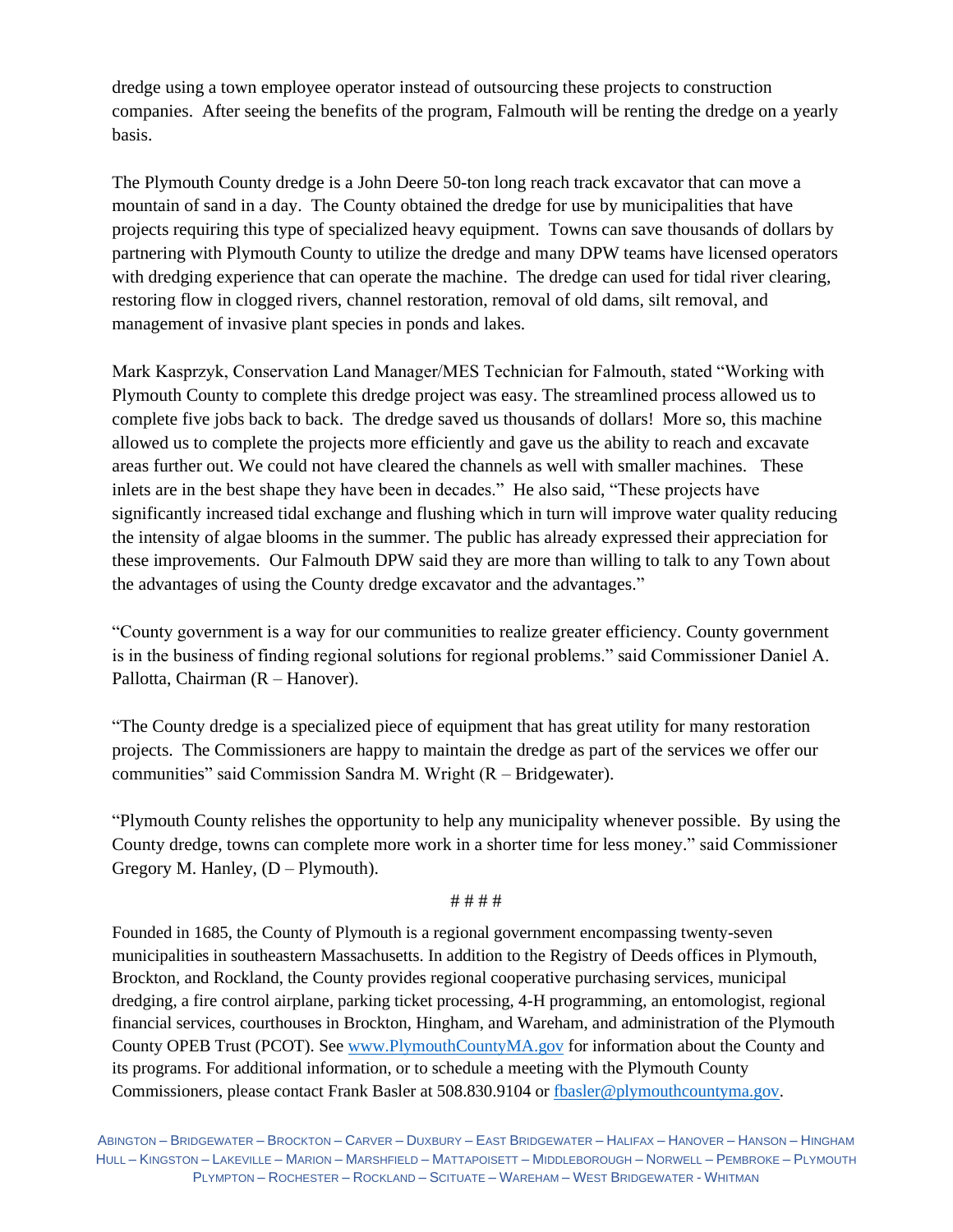dredge using a town employee operator instead of outsourcing these projects to construction companies. After seeing the benefits of the program, Falmouth will be renting the dredge on a yearly basis.

The Plymouth County dredge is a John Deere 50-ton long reach track excavator that can move a mountain of sand in a day. The County obtained the dredge for use by municipalities that have projects requiring this type of specialized heavy equipment. Towns can save thousands of dollars by partnering with Plymouth County to utilize the dredge and many DPW teams have licensed operators with dredging experience that can operate the machine. The dredge can used for tidal river clearing, restoring flow in clogged rivers, channel restoration, removal of old dams, silt removal, and management of invasive plant species in ponds and lakes.

Mark Kasprzyk, Conservation Land Manager/MES Technician for Falmouth, stated "Working with Plymouth County to complete this dredge project was easy. The streamlined process allowed us to complete five jobs back to back. The dredge saved us thousands of dollars! More so, this machine allowed us to complete the projects more efficiently and gave us the ability to reach and excavate areas further out. We could not have cleared the channels as well with smaller machines. These inlets are in the best shape they have been in decades." He also said, "These projects have significantly increased tidal exchange and flushing which in turn will improve water quality reducing the intensity of algae blooms in the summer. The public has already expressed their appreciation for these improvements. Our Falmouth DPW said they are more than willing to talk to any Town about the advantages of using the County dredge excavator and the advantages."

"County government is a way for our communities to realize greater efficiency. County government is in the business of finding regional solutions for regional problems." said Commissioner Daniel A. Pallotta, Chairman (R – Hanover).

"The County dredge is a specialized piece of equipment that has great utility for many restoration projects. The Commissioners are happy to maintain the dredge as part of the services we offer our communities" said Commission Sandra M. Wright (R – Bridgewater).

"Plymouth County relishes the opportunity to help any municipality whenever possible. By using the County dredge, towns can complete more work in a shorter time for less money." said Commissioner Gregory M. Hanley,  $(D - Plymouth)$ .

## # # # #

Founded in 1685, the County of Plymouth is a regional government encompassing twenty-seven municipalities in southeastern Massachusetts. In addition to the Registry of Deeds offices in Plymouth, Brockton, and Rockland, the County provides regional cooperative purchasing services, municipal dredging, a fire control airplane, parking ticket processing, 4-H programming, an entomologist, regional financial services, courthouses in Brockton, Hingham, and Wareham, and administration of the Plymouth County OPEB Trust (PCOT). See [www.PlymouthCountyMA.gov](http://www.plymouthcountyma.gov/) for information about the County and its programs. For additional information, or to schedule a meeting with the Plymouth County Commissioners, please contact Frank Basler at 508.830.9104 or [fbasler@plymouthcountyma.gov.](mailto:fbasler@plymouthcountyma.gov)